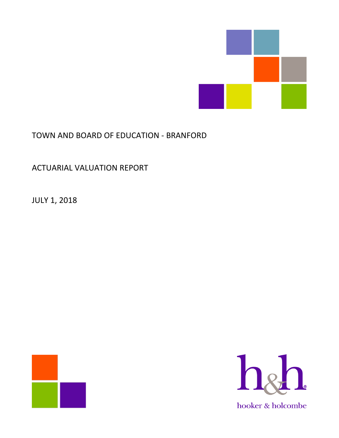

# TOWN AND BOARD OF EDUCATION - BRANFORD

ACTUARIAL VALUATION REPORT

JULY 1, 2018



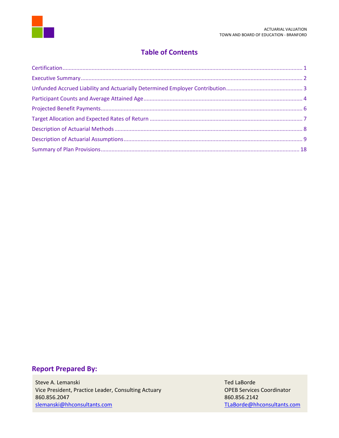

# **Table of Contents**

# **Report Prepared By:**

Steve A. Lemanski New York and Steve A. Lemanski New York and Steve A. Lemanski New York and Ted LaBorde Vice President, Practice Leader, Consulting Actuary **OPEB Services Coordinator** 860.856.2047 860.856.2142 [slemanski@hhconsultants.com](mailto:slemanski@hhconsultants.com) [TLaBorde@hhconsultants.com](mailto:TLaBorde@hhconsultants.com)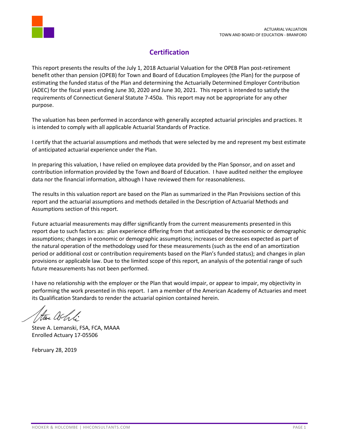

# **Certification**

<span id="page-2-0"></span>This report presents the results of the July 1, 2018 Actuarial Valuation for the OPEB Plan post-retirement benefit other than pension (OPEB) for Town and Board of Education Employees (the Plan) for the purpose of estimating the funded status of the Plan and determining the Actuarially Determined Employer Contribution (ADEC) for the fiscal years ending June 30, 2020 and June 30, 2021. This report is intended to satisfy the requirements of Connecticut General Statute 7-450a. This report may not be appropriate for any other purpose.

The valuation has been performed in accordance with generally accepted actuarial principles and practices. It is intended to comply with all applicable Actuarial Standards of Practice.

I certify that the actuarial assumptions and methods that were selected by me and represent my best estimate of anticipated actuarial experience under the Plan.

In preparing this valuation, I have relied on employee data provided by the Plan Sponsor, and on asset and contribution information provided by the Town and Board of Education. I have audited neither the employee data nor the financial information, although I have reviewed them for reasonableness.

The results in this valuation report are based on the Plan as summarized in the Plan Provisions section of this report and the actuarial assumptions and methods detailed in the Description of Actuarial Methods and Assumptions section of this report.

Future actuarial measurements may differ significantly from the current measurements presented in this report due to such factors as: plan experience differing from that anticipated by the economic or demographic assumptions; changes in economic or demographic assumptions; increases or decreases expected as part of the natural operation of the methodology used for these measurements (such as the end of an amortization period or additional cost or contribution requirements based on the Plan's funded status); and changes in plan provisions or applicable law. Due to the limited scope of this report, an analysis of the potential range of such future measurements has not been performed.

I have no relationship with the employer or the Plan that would impair, or appear to impair, my objectivity in performing the work presented in this report. I am a member of the American Academy of Actuaries and meet its Qualification Standards to render the actuarial opinion contained herein.

Steve A. Lemanski, FSA, FCA, MAAA Enrolled Actuary 17-05506

February 28, 2019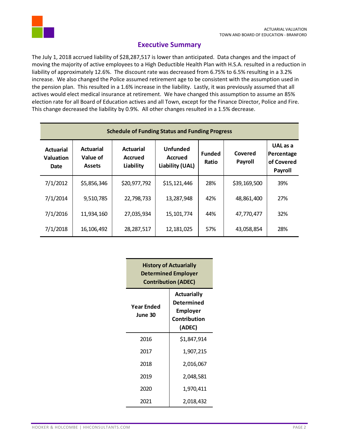

# **Executive Summary**

<span id="page-3-0"></span>The July 1, 2018 accrued liability of \$28,287,517 is lower than anticipated. Data changes and the impact of moving the majority of active employees to a High Deductible Health Plan with H.S.A. resulted in a reduction in liability of approximately 12.6%. The discount rate was decreased from 6.75% to 6.5% resulting in a 3.2% increase. We also changed the Police assumed retirement age to be consistent with the assumption used in the pension plan. This resulted in a 1.6% increase in the liability. Lastly, it was previously assumed that all actives would elect medical insurance at retirement. We have changed this assumption to assume an 85% election rate for all Board of Education actives and all Town, except for the Finance Director, Police and Fire. This change decreased the liability by 0.9%. All other changes resulted in a 1.5% decrease.

| <b>Schedule of Funding Status and Funding Progress</b> |                                               |                                          |                                               |                        |                    |                                                 |
|--------------------------------------------------------|-----------------------------------------------|------------------------------------------|-----------------------------------------------|------------------------|--------------------|-------------------------------------------------|
| <b>Actuarial</b><br>Valuation<br>Date                  | <b>Actuarial</b><br>Value of<br><b>Assets</b> | <b>Actuarial</b><br>Accrued<br>Liability | <b>Unfunded</b><br>Accrued<br>Liability (UAL) | <b>Funded</b><br>Ratio | Covered<br>Payroll | UAL as a<br>Percentage<br>of Covered<br>Payroll |
| 7/1/2012                                               | \$5,856,346                                   | \$20,977,792                             | \$15,121,446                                  | 28%                    | \$39,169,500       | 39%                                             |
| 7/1/2014                                               | 9,510,785                                     | 22,798,733                               | 13,287,948                                    | 42%                    | 48,861,400         | 27%                                             |
| 7/1/2016                                               | 11,934,160                                    | 27,035,934                               | 15, 101, 774                                  | 44%                    | 47,770,477         | 32%                                             |
| 7/1/2018                                               | 16,106,492                                    | 28,287,517                               | 12,181,025                                    | 57%                    | 43,058,854         | 28%                                             |

| <b>History of Actuarially</b><br><b>Determined Employer</b><br><b>Contribution (ADEC)</b> |                                                                                      |  |  |
|-------------------------------------------------------------------------------------------|--------------------------------------------------------------------------------------|--|--|
| Year Ended<br>June 30                                                                     | <b>Actuarially</b><br>Determined<br><b>Employer</b><br><b>Contribution</b><br>(ADEC) |  |  |
| 2016                                                                                      | \$1,847,914                                                                          |  |  |
| 2017                                                                                      | 1,907,215                                                                            |  |  |
| 2018                                                                                      | 2,016,067                                                                            |  |  |
| 2019                                                                                      | 2,048,581                                                                            |  |  |
| 2020                                                                                      | 1,970,411                                                                            |  |  |
| 2021                                                                                      | 2,018,432                                                                            |  |  |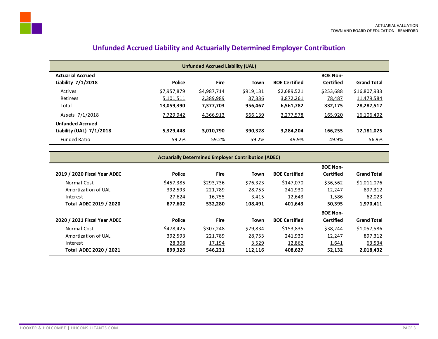| <b>Unfunded Accrued Liability (UAL)</b> |               |             |           |                      |                  |                    |
|-----------------------------------------|---------------|-------------|-----------|----------------------|------------------|--------------------|
| <b>Actuarial Accrued</b>                |               |             |           |                      | <b>BOE Non-</b>  |                    |
| Liability $7/1/2018$                    | <b>Police</b> | <b>Fire</b> | Town      | <b>BOE Certified</b> | <b>Certified</b> | <b>Grand Total</b> |
| Actives                                 | \$7,957,879   | \$4,987,714 | \$919,131 | \$2,689,521          | \$253,688        | \$16,807,933       |
| <b>Retirees</b>                         | 5,101,511     | 2,389,989   | 37,336    | 3,872,261            | 78,487           | 11,479,584         |
| Total                                   | 13,059,390    | 7,377,703   | 956,467   | 6,561,782            | 332,175          | 28,287,517         |
| Assets 7/1/2018                         | 7.729.942     | 4,366,913   | 566,139   | 3,277,578            | 165,920          | 16,106,492         |
| <b>Unfunded Accrued</b>                 |               |             |           |                      |                  |                    |
| Liability (UAL) $7/1/2018$              | 5,329,448     | 3,010,790   | 390.328   | 3,284,204            | 166,255          | 12,181,025         |
| <b>Funded Ratio</b>                     | 59.2%         | 59.2%       | 59.2%     | 49.9%                | 49.9%            | 56.9%              |

# **Unfunded Accrued Liability and Actuarially Determined Employer Contribution**

#### **Actuarially Determined Employer Contribution (ADEC)**

<span id="page-4-0"></span>

|                              |               |             |             |                      | <b>BOE Non-</b>  |                    |
|------------------------------|---------------|-------------|-------------|----------------------|------------------|--------------------|
| 2019 / 2020 Fiscal Year ADEC | <b>Police</b> | <b>Fire</b> | <b>Town</b> | <b>BOE Certified</b> | <b>Certified</b> | <b>Grand Total</b> |
| Normal Cost                  | \$457,385     | \$293,736   | \$76,323    | \$147,070            | \$36,562         | \$1,011,076        |
| Amortization of UAL          | 392,593       | 221,789     | 28,753      | 241,930              | 12,247           | 897,312            |
| Interest                     | 27,624        | 16,755      | 3,415       | 12,643               | 1,586            | 62,023             |
| Total ADEC 2019 / 2020       | 877,602       | 532,280     | 108,491     | 401,643              | 50,395           | 1,970,411          |
|                              |               |             |             |                      |                  |                    |
|                              |               |             |             |                      | <b>BOE Non-</b>  |                    |
| 2020 / 2021 Fiscal Year ADEC | <b>Police</b> | <b>Fire</b> | <b>Town</b> | <b>BOE Certified</b> | <b>Certified</b> | <b>Grand Total</b> |
| Normal Cost                  | \$478.425     | \$307,248   | \$79.834    | \$153,835            | \$38,244         | \$1,057,586        |
| Amortization of UAL          | 392.593       | 221.789     | 28.753      | 241.930              | 12.247           | 897,312            |
| Interest                     | 28,308        | 17,194      | 3,529       | 12,862               | 1,641            | 63,534             |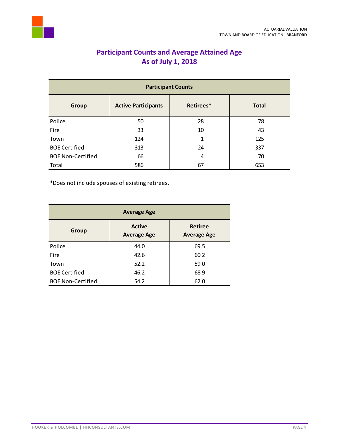<span id="page-5-0"></span>

# **Participant Counts and Average Attained Age As of July 1, 2018**

| <b>Participant Counts</b> |                            |           |              |  |
|---------------------------|----------------------------|-----------|--------------|--|
| <b>Group</b>              | <b>Active Participants</b> | Retirees* | <b>Total</b> |  |
| Police                    | 50                         | 28        | 78           |  |
| Fire                      | 33                         | 10        | 43           |  |
| Town                      | 124                        | 1         | 125          |  |
| <b>BOE Certified</b>      | 313                        | 24        | 337          |  |
| <b>BOE Non-Certified</b>  | 66                         | 4         | 70           |  |
| Total                     | 586                        | 67        | 653          |  |

\*Does not include spouses of existing retirees.

| <b>Average Age</b>       |                                     |                                      |  |  |
|--------------------------|-------------------------------------|--------------------------------------|--|--|
| Group                    | <b>Active</b><br><b>Average Age</b> | <b>Retiree</b><br><b>Average Age</b> |  |  |
| Police                   | 44.0                                | 69.5                                 |  |  |
| Fire                     | 42.6                                | 60.2                                 |  |  |
| Town                     | 52.2                                | 59.0                                 |  |  |
| <b>BOE Certified</b>     | 46.2                                | 68.9                                 |  |  |
| <b>BOE Non-Certified</b> | 54.2                                | 62.0                                 |  |  |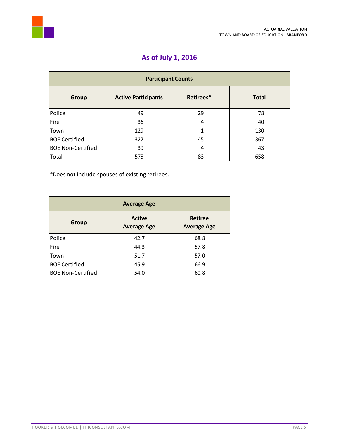

# **As of July 1, 2016**

| <b>Participant Counts</b> |                            |           |              |  |
|---------------------------|----------------------------|-----------|--------------|--|
| <b>Group</b>              | <b>Active Participants</b> | Retirees* | <b>Total</b> |  |
| Police                    | 49                         | 29        | 78           |  |
| Fire                      | 36                         | 4         | 40           |  |
| Town                      | 129                        | 1         | 130          |  |
| <b>BOE Certified</b>      | 322                        | 45        | 367          |  |
| <b>BOE Non-Certified</b>  | 39                         | 4         | 43           |  |
| Total                     | 575                        | 83        | 658          |  |

\*Does not include spouses of existing retirees.

| <b>Average Age</b>       |                                     |                                      |  |  |
|--------------------------|-------------------------------------|--------------------------------------|--|--|
| Group                    | <b>Active</b><br><b>Average Age</b> | <b>Retiree</b><br><b>Average Age</b> |  |  |
| Police                   | 42.7                                | 68.8                                 |  |  |
| Fire                     | 44.3                                | 57.8                                 |  |  |
| Town                     | 51.7                                | 57.0                                 |  |  |
| <b>BOE Certified</b>     | 45.9                                | 66.9                                 |  |  |
| <b>BOE Non-Certified</b> | 54.0                                | 60.8                                 |  |  |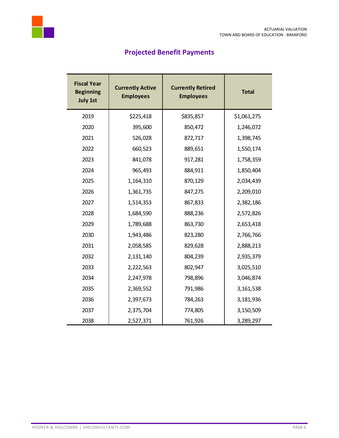

<span id="page-7-0"></span>

# **Projected Benefit Payments**

| <b>Fiscal Year</b><br><b>Beginning</b><br><b>July 1st</b> | <b>Currently Active</b><br><b>Employees</b> | <b>Currently Retired</b><br><b>Employees</b> | <b>Total</b> |
|-----------------------------------------------------------|---------------------------------------------|----------------------------------------------|--------------|
| 2019                                                      | \$225,418                                   | \$835,857                                    | \$1,061,275  |
| 2020                                                      | 395,600                                     | 850,472                                      | 1,246,072    |
| 2021                                                      | 526,028                                     | 872,717                                      | 1,398,745    |
| 2022                                                      | 660,523                                     | 889,651                                      | 1,550,174    |
| 2023                                                      | 841,078                                     | 917,281                                      | 1,758,359    |
| 2024                                                      | 965,493                                     | 884,911                                      | 1,850,404    |
| 2025                                                      | 1,164,310                                   | 870,129                                      | 2,034,439    |
| 2026                                                      | 1,361,735                                   | 847,275                                      | 2,209,010    |
| 2027                                                      | 1,514,353                                   | 867,833                                      | 2,382,186    |
| 2028                                                      | 1,684,590                                   | 888,236                                      | 2,572,826    |
| 2029                                                      | 1,789,688                                   | 863,730                                      | 2,653,418    |
| 2030                                                      | 1,943,486                                   | 823,280                                      | 2,766,766    |
| 2031                                                      | 2,058,585                                   | 829,628                                      | 2,888,213    |
| 2032                                                      | 2,131,140                                   | 804,239                                      | 2,935,379    |
| 2033                                                      | 2,222,563                                   | 802,947                                      | 3,025,510    |
| 2034                                                      | 2,247,978                                   | 798,896                                      | 3,046,874    |
| 2035                                                      | 2,369,552                                   | 791,986                                      | 3,161,538    |
| 2036                                                      | 2,397,673                                   | 784,263                                      | 3,181,936    |
| 2037                                                      | 2,375,704                                   | 774,805                                      | 3,150,509    |
| 2038                                                      | 2,527,371                                   | 761,926                                      | 3,289,297    |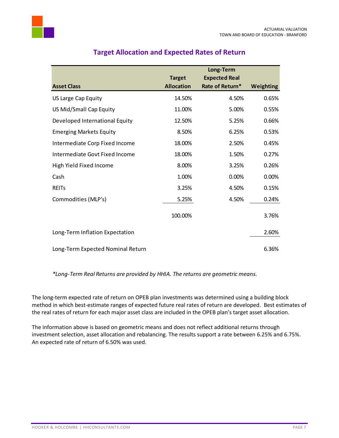

<span id="page-8-0"></span>

|                                   |                   | Long-Term            |           |
|-----------------------------------|-------------------|----------------------|-----------|
|                                   | <b>Target</b>     | <b>Expected Real</b> |           |
| <b>Asset Class</b>                | <b>Allocation</b> | Rate of Return*      | Weighting |
| US Large Cap Equity               | 14.50%            | 4.50%                | 0.65%     |
| US Mid/Small Cap Equity           | 11.00%            | 5.00%                | 0.55%     |
| Developed International Equity    | 12.50%            | 5.25%                | 0.66%     |
| <b>Emerging Markets Equity</b>    | 8.50%             | 6.25%                | 0.53%     |
| Intermediate Corp Fixed Income    | 18.00%            | 2.50%                | 0.45%     |
| Intermediate Govt Fixed Income    | 18.00%            | 1.50%                | 0.27%     |
| High Yield Fixed Income           | 8.00%             | 3.25%                | 0.26%     |
| Cash                              | 1.00%             | 0.00%                | 0.00%     |
| <b>REITS</b>                      | 3.25%             | 4.50%                | 0.15%     |
| Commodities (MLP's)               | 5.25%             | 4.50%                | 0.24%     |
|                                   | 100.00%           |                      | 3.76%     |
| Long-Term Inflation Expectation   |                   |                      | 2.60%     |
| Long-Term Expected Nominal Return |                   |                      | 6.36%     |

# **Target Allocation and Expected Rates of Return**

*\*Long-Term Real Returns are provided by HHIA. The returns are geometric means.*

The long-term expected rate of return on OPEB plan investments was determined using a building block method in which best-estimate ranges of expected future real rates of return are developed. Best estimates of the real rates of return for each major asset class are included in the OPEB plan's target asset allocation.

The information above is based on geometric means and does not reflect additional returns through investment selection, asset allocation and rebalancing. The results support a rate between 6.25% and 6.75%. An expected rate of return of 6.50% was used.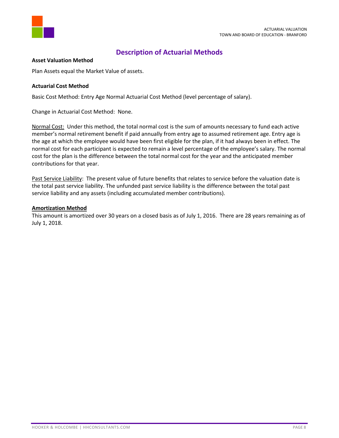



# **Description of Actuarial Methods**

# <span id="page-9-0"></span>**Asset Valuation Method**

Plan Assets equal the Market Value of assets.

#### **Actuarial Cost Method**

Basic Cost Method: Entry Age Normal Actuarial Cost Method (level percentage of salary).

Change in Actuarial Cost Method: None.

Normal Cost: Under this method, the total normal cost is the sum of amounts necessary to fund each active member's normal retirement benefit if paid annually from entry age to assumed retirement age. Entry age is the age at which the employee would have been first eligible for the plan, if it had always been in effect. The normal cost for each participant is expected to remain a level percentage of the employee's salary. The normal cost for the plan is the difference between the total normal cost for the year and the anticipated member contributions for that year.

Past Service Liability: The present value of future benefits that relates to service before the valuation date is the total past service liability. The unfunded past service liability is the difference between the total past service liability and any assets (including accumulated member contributions).

#### **Amortization Method**

This amount is amortized over 30 years on a closed basis as of July 1, 2016. There are 28 years remaining as of July 1, 2018.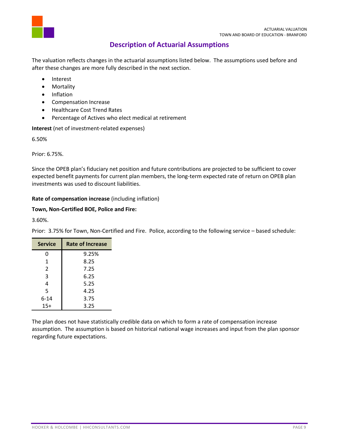

# **Description of Actuarial Assumptions**

<span id="page-10-0"></span>The valuation reflects changes in the actuarial assumptions listed below. The assumptions used before and after these changes are more fully described in the next section.

- Interest
- Mortality
- Inflation
- Compensation Increase
- Healthcare Cost Trend Rates
- Percentage of Actives who elect medical at retirement

**Interest** (net of investment-related expenses)

6.50%

Prior: 6.75%.

Since the OPEB plan's fiduciary net position and future contributions are projected to be sufficient to cover expected benefit payments for current plan members, the long-term expected rate of return on OPEB plan investments was used to discount liabilities.

# **Rate of compensation increase** (including inflation)

# **Town, Non-Certified BOE, Police and Fire:**

3.60%.

| <b>Service</b> | <b>Rate of Increase</b> |  |
|----------------|-------------------------|--|
| 0              | 9.25%                   |  |
| 1              | 8.25                    |  |
| $\mathcal{P}$  | 7.25                    |  |
| 3              | 6.25                    |  |
| 4              | 5.25                    |  |
| 5              | 4.25                    |  |
| $6 - 14$       | 3.75                    |  |
| $15+$          | 3.25                    |  |

Prior: 3.75% for Town, Non-Certified and Fire. Police, according to the following service – based schedule:

The plan does not have statistically credible data on which to form a rate of compensation increase assumption. The assumption is based on historical national wage increases and input from the plan sponsor regarding future expectations.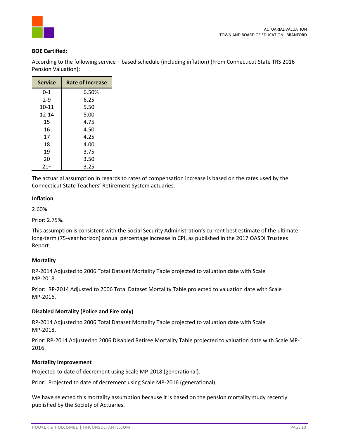

# **BOE Certified:**

| <b>Service</b> | <b>Rate of Increase</b> |
|----------------|-------------------------|
| $0 - 1$        | 6.50%                   |
| $2 - 9$        | 6.25                    |
| 10-11          | 5.50                    |
| 12-14          | 5.00                    |
| 15             | 4.75                    |
| 16             | 4.50                    |
| 17             | 4.25                    |
| 18             | 4.00                    |
| 19             | 3.75                    |
| 20             | 3.50                    |
| $21+$          | 3.25                    |

According to the following service – based schedule (including inflation) (From Connecticut State TRS 2016 Pension Valuation):

The actuarial assumption in regards to rates of compensation increase is based on the rates used by the Connecticut State Teachers' Retirement System actuaries.

#### **Inflation**

2.60%

Prior: 2.75%.

This assumption is consistent with the Social Security Administration's current best estimate of the ultimate long-term (75-year horizon) annual percentage increase in CPI, as published in the 2017 OASDI Trustees Report.

# **Mortality**

RP-2014 Adjusted to 2006 Total Dataset Mortality Table projected to valuation date with Scale MP-2018.

Prior: RP-2014 Adjusted to 2006 Total Dataset Mortality Table projected to valuation date with Scale MP-2016.

# **Disabled Mortality (Police and Fire only)**

RP-2014 Adjusted to 2006 Total Dataset Mortality Table projected to valuation date with Scale MP-2018.

Prior: RP-2014 Adjusted to 2006 Disabled Retiree Mortality Table projected to valuation date with Scale MP-2016.

# **Mortality Improvement**

Projected to date of decrement using Scale MP-2018 (generational).

Prior: Projected to date of decrement using Scale MP-2016 (generational).

We have selected this mortality assumption because it is based on the pension mortality study recently published by the Society of Actuaries.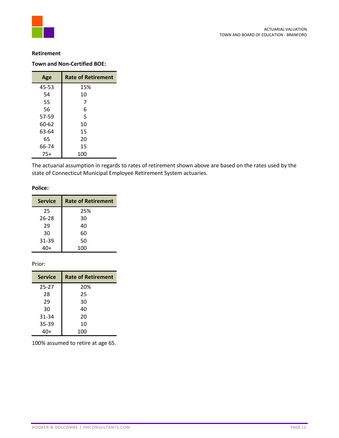

### **Retirement**

# **Town and Non-Certified BOE:**

| Age   | <b>Rate of Retirement</b> |
|-------|---------------------------|
| 45-53 | 15%                       |
| 54    | 10                        |
| 55    | 7                         |
| 56    | 6                         |
| 57-59 | 5                         |
| 60-62 | 10                        |
| 63-64 | 15                        |
| 65    | 20                        |
| 66-74 | 15                        |
| $75+$ | 100                       |

The actuarial assumption in regards to rates of retirement shown above are based on the rates used by the state of Connecticut Municipal Employee Retirement System actuaries.

#### **Police:**

| <b>Service</b> | <b>Rate of Retirement</b> |
|----------------|---------------------------|
| 25             | 25%                       |
| 26-28          | 30                        |
| 29             | 40                        |
| 30             | 60                        |
| 31-39          | 50                        |
|                | 100                       |

#### Prior:

| <b>Service</b> | <b>Rate of Retirement</b> |
|----------------|---------------------------|
| $25 - 27$      | 20%                       |
| 28             | 25                        |
| 29             | 30                        |
| 30             | 40                        |
| 31-34          | 20                        |
| 35-39          | 10                        |
|                | 100                       |

100% assumed to retire at age 65.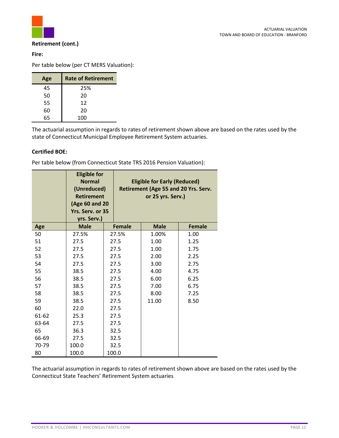

# **Retirement (cont.)**

# **Fire:**

Per table below (per CT MERS Valuation):

| Age | <b>Rate of Retirement</b> |
|-----|---------------------------|
| 45  | 25%                       |
| 50  | 20                        |
| 55  | 12                        |
| 60  | 20                        |
| 65  | 100                       |

The actuarial assumption in regards to rates of retirement shown above are based on the rates used by the state of Connecticut Municipal Employee Retirement System actuaries.

# **Certified BOE:**

Per table below (from Connecticut State TRS 2016 Pension Valuation):

|       | <b>Eligible for</b><br><b>Normal</b><br>(Unreduced)<br><b>Retirement</b><br>(Age 60 and 20<br>Yrs. Serv. or 35<br>yrs. Serv.) |      |               |       | <b>Eligible for Early (Reduced)</b><br>or 25 yrs. Serv.) | Retirement (Age 55 and 20 Yrs. Serv. |
|-------|-------------------------------------------------------------------------------------------------------------------------------|------|---------------|-------|----------------------------------------------------------|--------------------------------------|
| Age   | <b>Male</b>                                                                                                                   |      | <b>Female</b> |       | <b>Male</b>                                              | <b>Female</b>                        |
| 50    | 27.5%                                                                                                                         |      | 27.5%         |       | 1.00%                                                    | 1.00                                 |
| 51    | 27.5                                                                                                                          |      | 27.5          | 1.00  |                                                          | 1.25                                 |
| 52    | 27.5                                                                                                                          | 27.5 |               | 1.00  |                                                          | 1.75                                 |
| 53    | 27.5                                                                                                                          | 27.5 |               | 2.00  |                                                          | 2.25                                 |
| 54    | 27.5                                                                                                                          | 27.5 |               | 3.00  |                                                          | 2.75                                 |
| 55    | 38.5                                                                                                                          | 27.5 |               | 4.00  |                                                          | 4.75                                 |
| 56    | 38.5                                                                                                                          | 27.5 |               | 6.00  |                                                          | 6.25                                 |
| 57    | 38.5                                                                                                                          | 27.5 |               | 7.00  |                                                          | 6.75                                 |
| 58    | 38.5                                                                                                                          | 27.5 |               | 8.00  |                                                          | 7.25                                 |
| 59    | 38.5                                                                                                                          | 27.5 |               | 11.00 |                                                          | 8.50                                 |
| 60    | 22.0                                                                                                                          | 27.5 |               |       |                                                          |                                      |
| 61-62 | 25.3                                                                                                                          | 27.5 |               |       |                                                          |                                      |
| 63-64 | 27.5                                                                                                                          | 27.5 |               |       |                                                          |                                      |
| 65    | 36.3                                                                                                                          | 32.5 |               |       |                                                          |                                      |
| 66-69 | 27.5                                                                                                                          | 32.5 |               |       |                                                          |                                      |
| 70-79 | 100.0                                                                                                                         |      | 32.5          |       |                                                          |                                      |
| 80    | 100.0                                                                                                                         |      | 100.0         |       |                                                          |                                      |

The actuarial assumption in regards to rates of retirement shown above are based on the rates used by the Connecticut State Teachers' Retirement System actuaries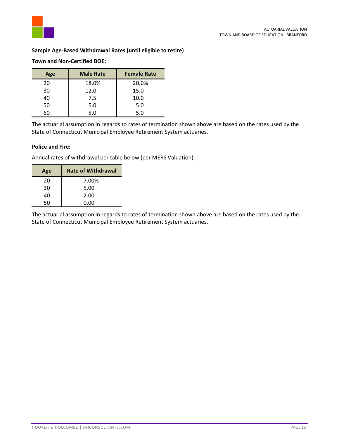

# **Sample Age-Based Withdrawal Rates (until eligible to retire)**

# **Town and Non-Certified BOE:**

| Age | <b>Male Rate</b> | <b>Female Rate</b> |
|-----|------------------|--------------------|
| 20  | 18.0%            | 20.0%              |
| 30  | 12.0             | 15.0               |
| 40  | 7.5              | 10.0               |
| 50  | 5.0              | 5.0                |
|     | 5.0              | 5.0                |

The actuarial assumption in regards to rates of termination shown above are based on the rates used by the State of Connecticut Municipal Employee Retirement System actuaries.

#### **Police and Fire:**

Annual rates of withdrawal per table below (per MERS Valuation):

| Age | <b>Rate of Withdrawal</b> |
|-----|---------------------------|
| 20  | 7.00%                     |
| 30  | 5.00                      |
| 40  | 2.00                      |
| 50  | 0.00                      |

The actuarial assumption in regards to rates of termination shown above are based on the rates used by the State of Connecticut Municipal Employee Retirement System actuaries.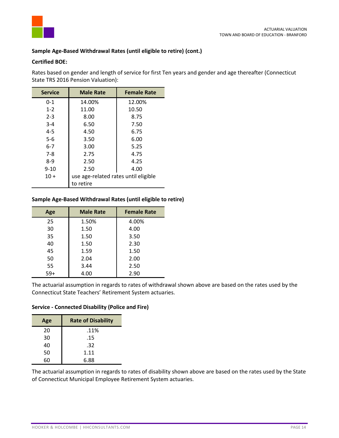

# **Sample Age-Based Withdrawal Rates (until eligible to retire) (cont.)**

### **Certified BOE:**

Rates based on gender and length of service for first Ten years and gender and age thereafter (Connecticut State TRS 2016 Pension Valuation):

| <b>Service</b> | <b>Male Rate</b>                     | <b>Female Rate</b> |  |
|----------------|--------------------------------------|--------------------|--|
| $0 - 1$        | 14.00%                               | 12.00%             |  |
| $1 - 2$        | 11.00                                | 10.50              |  |
| $2 - 3$        | 8.00                                 | 8.75               |  |
| $3 - 4$        | 6.50                                 | 7.50               |  |
| $4 - 5$        | 4.50                                 | 6.75               |  |
| $5 - 6$        | 3.50                                 | 6.00               |  |
| $6 - 7$        | 3.00                                 | 5.25               |  |
| $7-8$          | 2.75                                 | 4.75               |  |
| $8-9$          | 2.50                                 | 4.25               |  |
| $9 - 10$       | 2.50                                 | 4.00               |  |
| $10 +$         | use age-related rates until eligible |                    |  |
|                | to retire                            |                    |  |

# **Sample Age-Based Withdrawal Rates (until eligible to retire)**

| Age   | <b>Male Rate</b> | <b>Female Rate</b> |
|-------|------------------|--------------------|
| 25    | 1.50%            | 4.00%              |
| 30    | 1.50             | 4.00               |
| 35    | 1.50             | 3.50               |
| 40    | 1.50             | 2.30               |
| 45    | 1.59             | 1.50               |
| 50    | 2.04             | 2.00               |
| 55    | 3.44             | 2.50               |
| $59+$ | 4.00             | 2.90               |

The actuarial assumption in regards to rates of withdrawal shown above are based on the rates used by the Connecticut State Teachers' Retirement System actuaries.

#### **Service - Connected Disability (Police and Fire)**

| Age | <b>Rate of Disability</b> |
|-----|---------------------------|
| 20  | .11%                      |
| 30  | .15                       |
| 40  | .32                       |
| 50  | 1.11                      |
| 6ሰ  | 6.88                      |

The actuarial assumption in regards to rates of disability shown above are based on the rates used by the State of Connecticut Municipal Employee Retirement System actuaries.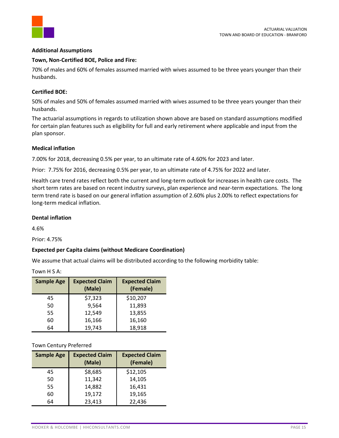

# **Additional Assumptions**

#### **Town, Non-Certified BOE, Police and Fire:**

70% of males and 60% of females assumed married with wives assumed to be three years younger than their husbands.

#### **Certified BOE:**

50% of males and 50% of females assumed married with wives assumed to be three years younger than their husbands.

The actuarial assumptions in regards to utilization shown above are based on standard assumptions modified for certain plan features such as eligibility for full and early retirement where applicable and input from the plan sponsor.

#### **Medical inflation**

7.00% for 2018, decreasing 0.5% per year, to an ultimate rate of 4.60% for 2023 and later.

Prior: 7.75% for 2016, decreasing 0.5% per year, to an ultimate rate of 4.75% for 2022 and later.

Health care trend rates reflect both the current and long-term outlook for increases in health care costs. The short term rates are based on recent industry surveys, plan experience and near-term expectations. The long term trend rate is based on our general inflation assumption of 2.60% plus 2.00% to reflect expectations for long-term medical inflation.

### **Dental inflation**

4.6%

Prior: 4.75%

# **Expected per Capita claims (without Medicare Coordination)**

We assume that actual claims will be distributed according to the following morbidity table:

|  | Town H S A: |  |  |
|--|-------------|--|--|
|--|-------------|--|--|

| <b>Sample Age</b> | <b>Expected Claim</b><br>(Male) | <b>Expected Claim</b><br>(Female) |
|-------------------|---------------------------------|-----------------------------------|
| 45                | \$7,323                         | \$10,207                          |
| 50                | 9,564                           | 11,893                            |
| 55                | 12,549                          | 13,855                            |
| 60                | 16,166                          | 16,160                            |
| 64                | 19,743                          | 18,918                            |

Town Century Preferred

| <b>Sample Age</b> | <b>Expected Claim</b><br>(Male) | <b>Expected Claim</b><br>(Female) |
|-------------------|---------------------------------|-----------------------------------|
| 45                | \$8,685                         | \$12,105                          |
| 50                | 11,342                          | 14,105                            |
| 55                | 14,882                          | 16,431                            |
| 60                | 19,172                          | 19,165                            |
| 64                | 23,413                          | 22,436                            |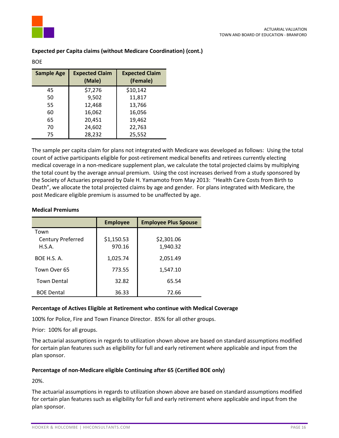

BOE

| <b>Sample Age</b> | <b>Expected Claim</b><br>(Male) | <b>Expected Claim</b><br>(Female) |
|-------------------|---------------------------------|-----------------------------------|
| 45                | \$7,276                         | \$10,142                          |
| 50                | 9,502                           | 11,817                            |
| 55                | 12,468                          | 13,766                            |
| 60                | 16,062                          | 16,056                            |
| 65                | 20,451                          | 19,462                            |
| 70                | 24,602                          | 22,763                            |
| 75                | 28,232                          | 25,552                            |

# **Expected per Capita claims (without Medicare Coordination) (cont.)**

The sample per capita claim for plans not integrated with Medicare was developed as follows: Using the total count of active participants eligible for post-retirement medical benefits and retirees currently electing medical coverage in a non-medicare supplement plan, we calculate the total projected claims by multiplying the total count by the average annual premium. Using the cost increases derived from a study sponsored by the Society of Actuaries prepared by Dale H. Yamamoto from May 2013: "Health Care Costs from Birth to Death", we allocate the total projected claims by age and gender. For plans integrated with Medicare, the post Medicare eligible premium is assumed to be unaffected by age.

# **Medical Premiums**

|                    | <b>Employee</b> | <b>Employee Plus Spouse</b> |
|--------------------|-----------------|-----------------------------|
| Town               |                 |                             |
| Century Preferred  | \$1,150.53      | \$2,301.06                  |
| H.S.A.             | 970.16          | 1,940.32                    |
| BOE H.S. A.        | 1,025.74        | 2,051.49                    |
| Town Over 65       | 773.55          | 1,547.10                    |
| <b>Town Dental</b> | 32.82           | 65.54                       |
| <b>BOE Dental</b>  | 36.33           | 72.66                       |

# **Percentage of Actives Eligible at Retirement who continue with Medical Coverage**

100% for Police, Fire and Town Finance Director. 85% for all other groups.

Prior: 100% for all groups.

The actuarial assumptions in regards to utilization shown above are based on standard assumptions modified for certain plan features such as eligibility for full and early retirement where applicable and input from the plan sponsor.

# **Percentage of non-Medicare eligible Continuing after 65 (Certified BOE only)**

20%.

The actuarial assumptions in regards to utilization shown above are based on standard assumptions modified for certain plan features such as eligibility for full and early retirement where applicable and input from the plan sponsor.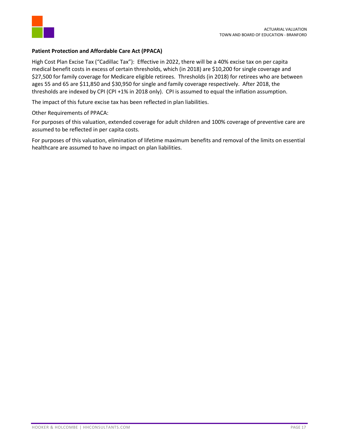

# **Patient Protection and Affordable Care Act (PPACA)**

High Cost Plan Excise Tax ("Cadillac Tax"): Effective in 2022, there will be a 40% excise tax on per capita medical benefit costs in excess of certain thresholds, which (in 2018) are \$10,200 for single coverage and \$27,500 for family coverage for Medicare eligible retirees. Thresholds (in 2018) for retirees who are between ages 55 and 65 are \$11,850 and \$30,950 for single and family coverage respectively. After 2018, the thresholds are indexed by CPI (CPI +1% in 2018 only). CPI is assumed to equal the inflation assumption.

The impact of this future excise tax has been reflected in plan liabilities.

Other Requirements of PPACA:

For purposes of this valuation, extended coverage for adult children and 100% coverage of preventive care are assumed to be reflected in per capita costs.

For purposes of this valuation, elimination of lifetime maximum benefits and removal of the limits on essential healthcare are assumed to have no impact on plan liabilities.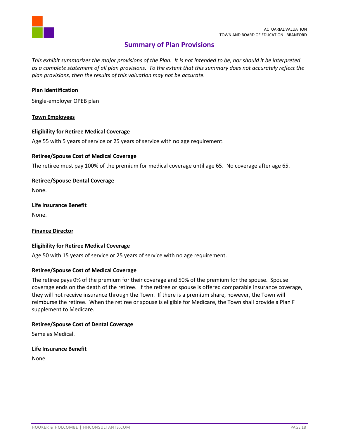

# **Summary of Plan Provisions**

<span id="page-19-0"></span>*This exhibit summarizes the major provisions of the Plan. It is not intended to be, nor should it be interpreted as a complete statement of all plan provisions. To the extent that this summary does not accurately reflect the plan provisions, then the results of this valuation may not be accurate.* 

### **Plan identification**

Single-employer OPEB plan

#### **Town Employees**

#### **Eligibility for Retiree Medical Coverage**

Age 55 with 5 years of service or 25 years of service with no age requirement.

#### **Retiree/Spouse Cost of Medical Coverage**

The retiree must pay 100% of the premium for medical coverage until age 65. No coverage after age 65.

**Retiree/Spouse Dental Coverage**  None.

**Life Insurance Benefit** None.

#### **Finance Director**

#### **Eligibility for Retiree Medical Coverage**

Age 50 with 15 years of service or 25 years of service with no age requirement.

#### **Retiree/Spouse Cost of Medical Coverage**

The retiree pays 0% of the premium for their coverage and 50% of the premium for the spouse. Spouse coverage ends on the death of the retiree. If the retiree or spouse is offered comparable insurance coverage, they will not receive insurance through the Town. If there is a premium share, however, the Town will reimburse the retiree. When the retiree or spouse is eligible for Medicare, the Town shall provide a Plan F supplement to Medicare.

# **Retiree/Spouse Cost of Dental Coverage**

Same as Medical.

**Life Insurance Benefit**

None.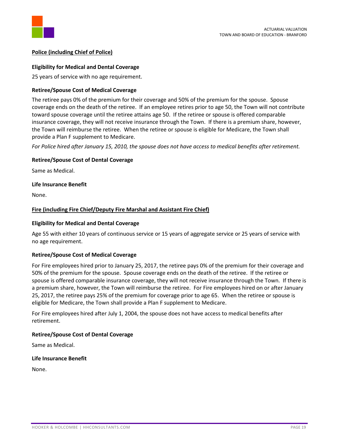

### **Police (including Chief of Police)**

#### **Eligibility for Medical and Dental Coverage**

25 years of service with no age requirement.

#### **Retiree/Spouse Cost of Medical Coverage**

The retiree pays 0% of the premium for their coverage and 50% of the premium for the spouse. Spouse coverage ends on the death of the retiree. If an employee retires prior to age 50, the Town will not contribute toward spouse coverage until the retiree attains age 50. If the retiree or spouse is offered comparable insurance coverage, they will not receive insurance through the Town. If there is a premium share, however, the Town will reimburse the retiree. When the retiree or spouse is eligible for Medicare, the Town shall provide a Plan F supplement to Medicare.

*For Police hired after January 15, 2010, the spouse does not have access to medical benefits after retirement.*

#### **Retiree/Spouse Cost of Dental Coverage**

Same as Medical.

#### **Life Insurance Benefit**

None.

#### **Fire (including Fire Chief/Deputy Fire Marshal and Assistant Fire Chief)**

#### **Eligibility for Medical and Dental Coverage**

Age 55 with either 10 years of continuous service or 15 years of aggregate service or 25 years of service with no age requirement.

#### **Retiree/Spouse Cost of Medical Coverage**

For Fire employees hired prior to January 25, 2017, the retiree pays 0% of the premium for their coverage and 50% of the premium for the spouse. Spouse coverage ends on the death of the retiree. If the retiree or spouse is offered comparable insurance coverage, they will not receive insurance through the Town. If there is a premium share, however, the Town will reimburse the retiree. For Fire employees hired on or after January 25, 2017, the retiree pays 25% of the premium for coverage prior to age 65. When the retiree or spouse is eligible for Medicare, the Town shall provide a Plan F supplement to Medicare.

For Fire employees hired after July 1, 2004, the spouse does not have access to medical benefits after retirement.

# **Retiree/Spouse Cost of Dental Coverage**

Same as Medical.

#### **Life Insurance Benefit**

None.